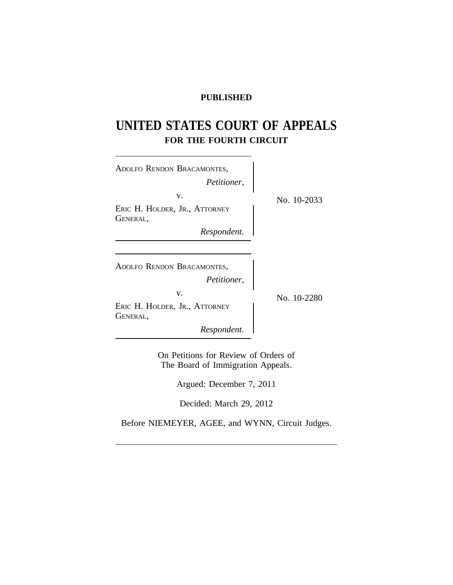# **PUBLISHED**

# **UNITED STATES COURT OF APPEALS FOR THE FOURTH CIRCUIT**

| ADOLFO RENDON BRACAMONTES,<br>Petitioner,       |             |
|-------------------------------------------------|-------------|
| V.<br>ERIC H. HOLDER, JR., ATTORNEY<br>GENERAL, | No. 10-2033 |
| Respondent.                                     |             |
| ADOLFO RENDON BRACAMONTES,<br>Petitioner,       |             |
| V.<br>ERIC H. HOLDER, JR., ATTORNEY<br>GENERAL, | No. 10-2280 |
| Respondent.                                     |             |

On Petitions for Review of Orders of The Board of Immigration Appeals.

Argued: December 7, 2011

Decided: March 29, 2012

Before NIEMEYER, AGEE, and WYNN, Circuit Judges.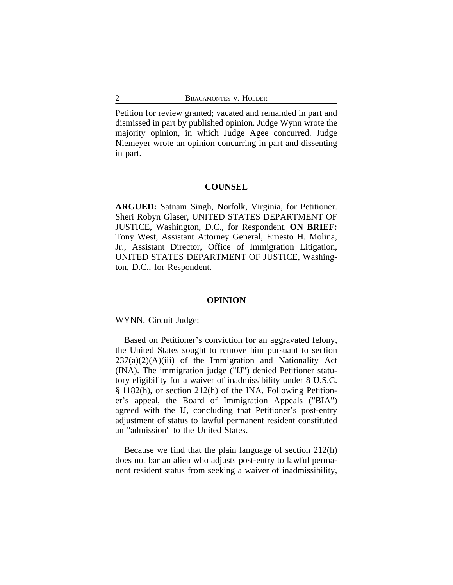Petition for review granted; vacated and remanded in part and dismissed in part by published opinion. Judge Wynn wrote the majority opinion, in which Judge Agee concurred. Judge Niemeyer wrote an opinion concurring in part and dissenting in part.

## **COUNSEL**

**ARGUED:** Satnam Singh, Norfolk, Virginia, for Petitioner. Sheri Robyn Glaser, UNITED STATES DEPARTMENT OF JUSTICE, Washington, D.C., for Respondent. **ON BRIEF:** Tony West, Assistant Attorney General, Ernesto H. Molina, Jr., Assistant Director, Office of Immigration Litigation, UNITED STATES DEPARTMENT OF JUSTICE, Washington, D.C., for Respondent.

#### **OPINION**

WYNN, Circuit Judge:

Based on Petitioner's conviction for an aggravated felony, the United States sought to remove him pursuant to section  $237(a)(2)(A)(iii)$  of the Immigration and Nationality Act (INA). The immigration judge ("IJ") denied Petitioner statutory eligibility for a waiver of inadmissibility under 8 U.S.C. § 1182(h), or section 212(h) of the INA. Following Petitioner's appeal, the Board of Immigration Appeals ("BIA") agreed with the IJ, concluding that Petitioner's post-entry adjustment of status to lawful permanent resident constituted an "admission" to the United States.

Because we find that the plain language of section 212(h) does not bar an alien who adjusts post-entry to lawful permanent resident status from seeking a waiver of inadmissibility,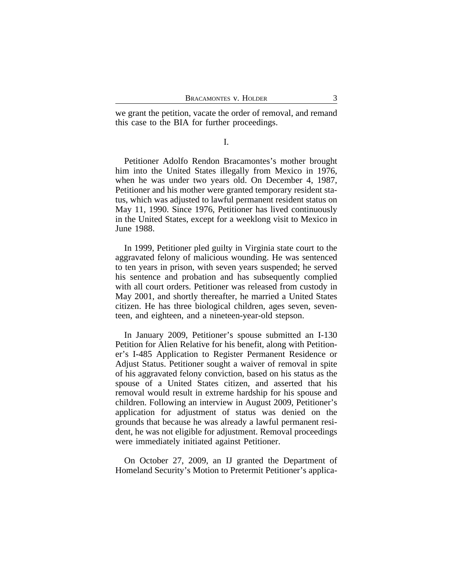we grant the petition, vacate the order of removal, and remand this case to the BIA for further proceedings.

I.

Petitioner Adolfo Rendon Bracamontes's mother brought him into the United States illegally from Mexico in 1976, when he was under two years old. On December 4, 1987, Petitioner and his mother were granted temporary resident status, which was adjusted to lawful permanent resident status on May 11, 1990. Since 1976, Petitioner has lived continuously in the United States, except for a weeklong visit to Mexico in June 1988.

In 1999, Petitioner pled guilty in Virginia state court to the aggravated felony of malicious wounding. He was sentenced to ten years in prison, with seven years suspended; he served his sentence and probation and has subsequently complied with all court orders. Petitioner was released from custody in May 2001, and shortly thereafter, he married a United States citizen. He has three biological children, ages seven, seventeen, and eighteen, and a nineteen-year-old stepson.

In January 2009, Petitioner's spouse submitted an I-130 Petition for Alien Relative for his benefit, along with Petitioner's I-485 Application to Register Permanent Residence or Adjust Status. Petitioner sought a waiver of removal in spite of his aggravated felony conviction, based on his status as the spouse of a United States citizen, and asserted that his removal would result in extreme hardship for his spouse and children. Following an interview in August 2009, Petitioner's application for adjustment of status was denied on the grounds that because he was already a lawful permanent resident, he was not eligible for adjustment. Removal proceedings were immediately initiated against Petitioner.

On October 27, 2009, an IJ granted the Department of Homeland Security's Motion to Pretermit Petitioner's applica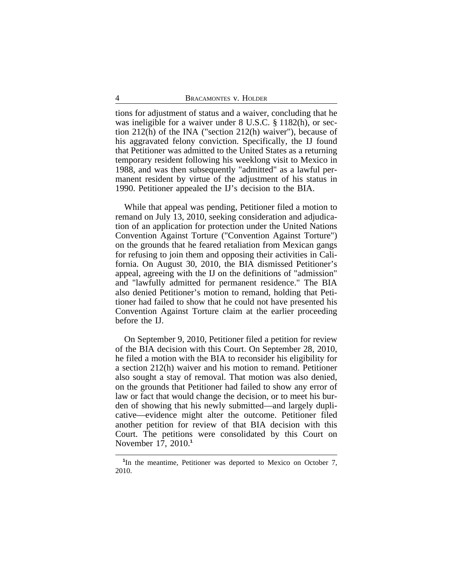tions for adjustment of status and a waiver, concluding that he was ineligible for a waiver under 8 U.S.C. § 1182(h), or section 212(h) of the INA ("section 212(h) waiver"), because of his aggravated felony conviction. Specifically, the IJ found that Petitioner was admitted to the United States as a returning temporary resident following his weeklong visit to Mexico in 1988, and was then subsequently "admitted" as a lawful permanent resident by virtue of the adjustment of his status in 1990. Petitioner appealed the IJ's decision to the BIA.

While that appeal was pending, Petitioner filed a motion to remand on July 13, 2010, seeking consideration and adjudication of an application for protection under the United Nations Convention Against Torture ("Convention Against Torture") on the grounds that he feared retaliation from Mexican gangs for refusing to join them and opposing their activities in California. On August 30, 2010, the BIA dismissed Petitioner's appeal, agreeing with the IJ on the definitions of "admission" and "lawfully admitted for permanent residence." The BIA also denied Petitioner's motion to remand, holding that Petitioner had failed to show that he could not have presented his Convention Against Torture claim at the earlier proceeding before the IJ.

On September 9, 2010, Petitioner filed a petition for review of the BIA decision with this Court. On September 28, 2010, he filed a motion with the BIA to reconsider his eligibility for a section 212(h) waiver and his motion to remand. Petitioner also sought a stay of removal. That motion was also denied, on the grounds that Petitioner had failed to show any error of law or fact that would change the decision, or to meet his burden of showing that his newly submitted—and largely duplicative—evidence might alter the outcome. Petitioner filed another petition for review of that BIA decision with this Court. The petitions were consolidated by this Court on November 17, 2010.**<sup>1</sup>**

<sup>&</sup>lt;sup>1</sup>In the meantime, Petitioner was deported to Mexico on October 7, 2010.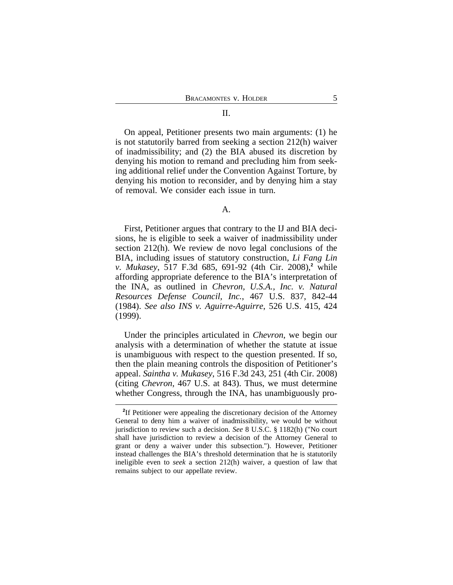# On appeal, Petitioner presents two main arguments: (1) he is not statutorily barred from seeking a section 212(h) waiver of inadmissibility; and (2) the BIA abused its discretion by denying his motion to remand and precluding him from seeking additional relief under the Convention Against Torture, by denying his motion to reconsider, and by denying him a stay of removal. We consider each issue in turn.

#### A.

First, Petitioner argues that contrary to the IJ and BIA decisions, he is eligible to seek a waiver of inadmissibility under section 212(h). We review de novo legal conclusions of the BIA, including issues of statutory construction, *Li Fang Lin v. Mukasey*, 517 F.3d 685, 691-92 (4th Cir. 2008),**<sup>2</sup>** while affording appropriate deference to the BIA's interpretation of the INA, as outlined in *Chevron, U.S.A., Inc. v. Natural Resources Defense Council, Inc.*, 467 U.S. 837, 842-44 (1984). *See also INS v. Aguirre-Aguirre*, 526 U.S. 415, 424 (1999).

Under the principles articulated in *Chevron*, we begin our analysis with a determination of whether the statute at issue is unambiguous with respect to the question presented. If so, then the plain meaning controls the disposition of Petitioner's appeal. *Saintha v. Mukasey*, 516 F.3d 243, 251 (4th Cir. 2008) (citing *Chevron*, 467 U.S. at 843). Thus, we must determine whether Congress, through the INA, has unambiguously pro-

<sup>&</sup>lt;sup>2</sup>If Petitioner were appealing the discretionary decision of the Attorney General to deny him a waiver of inadmissibility, we would be without jurisdiction to review such a decision. *See* 8 U.S.C. § 1182(h) ("No court shall have jurisdiction to review a decision of the Attorney General to grant or deny a waiver under this subsection."). However, Petitioner instead challenges the BIA's threshold determination that he is statutorily ineligible even to *seek* a section 212(h) waiver, a question of law that remains subject to our appellate review.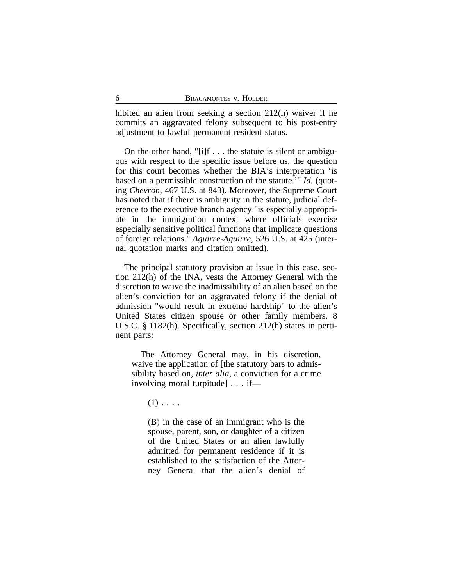hibited an alien from seeking a section 212(h) waiver if he commits an aggravated felony subsequent to his post-entry adjustment to lawful permanent resident status.

On the other hand, "[i]f . . . the statute is silent or ambiguous with respect to the specific issue before us, the question for this court becomes whether the BIA's interpretation 'is based on a permissible construction of the statute.'" *Id.* (quoting *Chevron*, 467 U.S. at 843). Moreover, the Supreme Court has noted that if there is ambiguity in the statute, judicial deference to the executive branch agency "is especially appropriate in the immigration context where officials exercise especially sensitive political functions that implicate questions of foreign relations." *Aguirre-Aguirre*, 526 U.S. at 425 (internal quotation marks and citation omitted).

The principal statutory provision at issue in this case, section 212(h) of the INA, vests the Attorney General with the discretion to waive the inadmissibility of an alien based on the alien's conviction for an aggravated felony if the denial of admission "would result in extreme hardship" to the alien's United States citizen spouse or other family members. 8 U.S.C. § 1182(h). Specifically, section 212(h) states in pertinent parts:

The Attorney General may, in his discretion, waive the application of [the statutory bars to admissibility based on, *inter alia*, a conviction for a crime involving moral turpitude] . . . if—

 $(1)$ ...

(B) in the case of an immigrant who is the spouse, parent, son, or daughter of a citizen of the United States or an alien lawfully admitted for permanent residence if it is established to the satisfaction of the Attorney General that the alien's denial of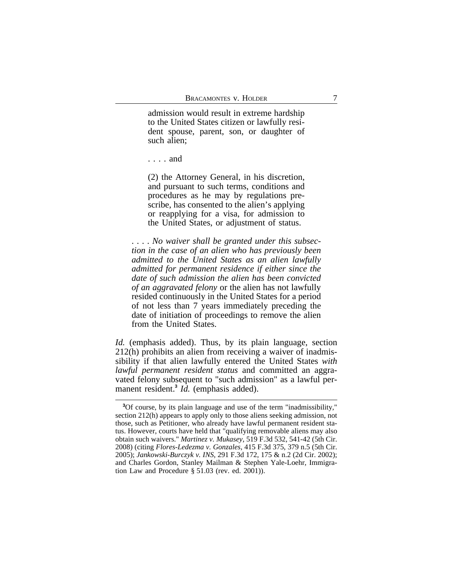admission would result in extreme hardship to the United States citizen or lawfully resident spouse, parent, son, or daughter of such alien;

(2) the Attorney General, in his discretion, and pursuant to such terms, conditions and procedures as he may by regulations prescribe, has consented to the alien's applying or reapplying for a visa, for admission to the United States, or adjustment of status.

. . . . *No waiver shall be granted under this subsection in the case of an alien who has previously been admitted to the United States as an alien lawfully admitted for permanent residence if either since the date of such admission the alien has been convicted of an aggravated felony* or the alien has not lawfully resided continuously in the United States for a period of not less than 7 years immediately preceding the date of initiation of proceedings to remove the alien from the United States.

*Id.* (emphasis added). Thus, by its plain language, section 212(h) prohibits an alien from receiving a waiver of inadmissibility if that alien lawfully entered the United States *with lawful permanent resident status* and committed an aggravated felony subsequent to "such admission" as a lawful permanent resident.**<sup>3</sup>** *Id.* (emphasis added).

<sup>. . . .</sup> and

**<sup>3</sup>**Of course, by its plain language and use of the term "inadmissibility," section 212(h) appears to apply only to those aliens seeking admission, not those, such as Petitioner, who already have lawful permanent resident status. However, courts have held that "qualifying removable aliens may also obtain such waivers." *Martinez v. Mukasey*, 519 F.3d 532, 541-42 (5th Cir. 2008) (citing *Flores-Ledezma v. Gonzales*, 415 F.3d 375, 379 n.5 (5th Cir. 2005); *Jankowski-Burczyk v. INS*, 291 F.3d 172, 175 & n.2 (2d Cir. 2002); and Charles Gordon, Stanley Mailman & Stephen Yale-Loehr, Immigration Law and Procedure § 51.03 (rev. ed. 2001)).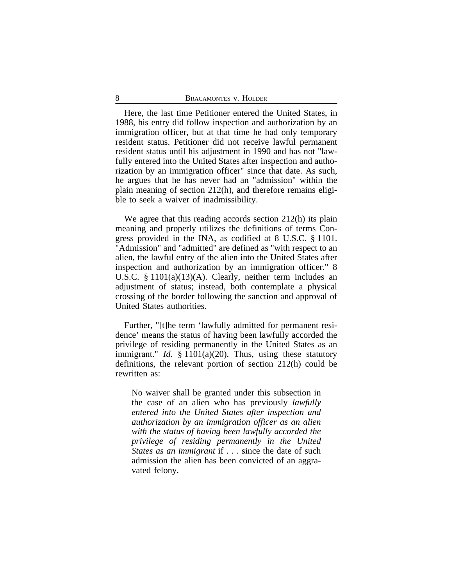Here, the last time Petitioner entered the United States, in 1988, his entry did follow inspection and authorization by an immigration officer, but at that time he had only temporary resident status. Petitioner did not receive lawful permanent resident status until his adjustment in 1990 and has not "lawfully entered into the United States after inspection and authorization by an immigration officer" since that date. As such, he argues that he has never had an "admission" within the plain meaning of section 212(h), and therefore remains eligible to seek a waiver of inadmissibility.

We agree that this reading accords section 212(h) its plain meaning and properly utilizes the definitions of terms Congress provided in the INA, as codified at 8 U.S.C. § 1101. "Admission" and "admitted" are defined as "with respect to an alien, the lawful entry of the alien into the United States after inspection and authorization by an immigration officer." 8 U.S.C. § 1101(a)(13)(A). Clearly, neither term includes an adjustment of status; instead, both contemplate a physical crossing of the border following the sanction and approval of United States authorities.

Further, "[t]he term 'lawfully admitted for permanent residence' means the status of having been lawfully accorded the privilege of residing permanently in the United States as an immigrant." *Id.* § 1101(a)(20). Thus, using these statutory definitions, the relevant portion of section 212(h) could be rewritten as:

No waiver shall be granted under this subsection in the case of an alien who has previously *lawfully entered into the United States after inspection and authorization by an immigration officer as an alien with the status of having been lawfully accorded the privilege of residing permanently in the United States as an immigrant* if . . . since the date of such admission the alien has been convicted of an aggravated felony.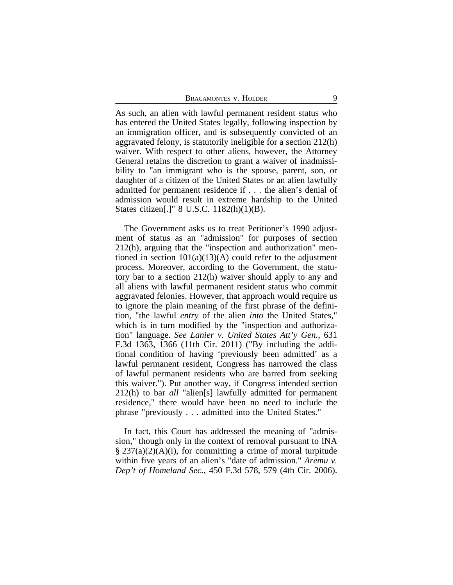BRACAMONTES V. HOLDER 9

As such, an alien with lawful permanent resident status who has entered the United States legally, following inspection by an immigration officer, and is subsequently convicted of an aggravated felony, is statutorily ineligible for a section 212(h) waiver. With respect to other aliens, however, the Attorney General retains the discretion to grant a waiver of inadmissibility to "an immigrant who is the spouse, parent, son, or daughter of a citizen of the United States or an alien lawfully admitted for permanent residence if . . . the alien's denial of admission would result in extreme hardship to the United States citizen[.]" 8 U.S.C. 1182(h)(1)(B).

The Government asks us to treat Petitioner's 1990 adjustment of status as an "admission" for purposes of section 212(h), arguing that the "inspection and authorization" mentioned in section  $101(a)(13)(A)$  could refer to the adjustment process. Moreover, according to the Government, the statutory bar to a section 212(h) waiver should apply to any and all aliens with lawful permanent resident status who commit aggravated felonies. However, that approach would require us to ignore the plain meaning of the first phrase of the definition, "the lawful *entry* of the alien *into* the United States," which is in turn modified by the "inspection and authorization" language. *See Lanier v. United States Att'y Gen.*, 631 F.3d 1363, 1366 (11th Cir. 2011) ("By including the additional condition of having 'previously been admitted' as a lawful permanent resident, Congress has narrowed the class of lawful permanent residents who are barred from seeking this waiver."). Put another way, if Congress intended section 212(h) to bar *all* "alien[s] lawfully admitted for permanent residence," there would have been no need to include the phrase "previously . . . admitted into the United States."

In fact, this Court has addressed the meaning of "admission," though only in the context of removal pursuant to INA  $\S 237(a)(2)(A)(i)$ , for committing a crime of moral turpitude within five years of an alien's "date of admission." *Aremu v. Dep't of Homeland Sec.*, 450 F.3d 578, 579 (4th Cir. 2006).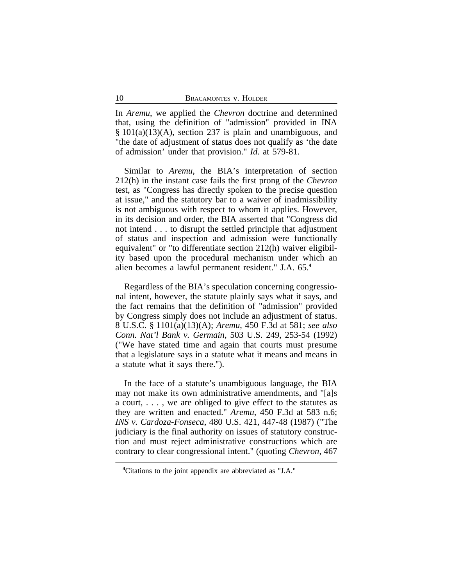In *Aremu*, we applied the *Chevron* doctrine and determined that, using the definition of "admission" provided in INA § 101(a)(13)(A), section 237 is plain and unambiguous, and "the date of adjustment of status does not qualify as 'the date of admission' under that provision." *Id.* at 579-81.

Similar to *Aremu*, the BIA's interpretation of section 212(h) in the instant case fails the first prong of the *Chevron* test, as "Congress has directly spoken to the precise question at issue," and the statutory bar to a waiver of inadmissibility is not ambiguous with respect to whom it applies. However, in its decision and order, the BIA asserted that "Congress did not intend . . . to disrupt the settled principle that adjustment of status and inspection and admission were functionally equivalent" or "to differentiate section 212(h) waiver eligibility based upon the procedural mechanism under which an alien becomes a lawful permanent resident." J.A. 65.**<sup>4</sup>**

Regardless of the BIA's speculation concerning congressional intent, however, the statute plainly says what it says, and the fact remains that the definition of "admission" provided by Congress simply does not include an adjustment of status. 8 U.S.C. § 1101(a)(13)(A); *Aremu*, 450 F.3d at 581; *see also Conn. Nat'l Bank v. Germain*, 503 U.S. 249, 253-54 (1992) ("We have stated time and again that courts must presume that a legislature says in a statute what it means and means in a statute what it says there.").

In the face of a statute's unambiguous language, the BIA may not make its own administrative amendments, and "[a]s a court, . . . , we are obliged to give effect to the statutes as they are written and enacted." *Aremu*, 450 F.3d at 583 n.6; *INS v. Cardoza-Fonseca*, 480 U.S. 421, 447-48 (1987) ("The judiciary is the final authority on issues of statutory construction and must reject administrative constructions which are contrary to clear congressional intent." (quoting *Chevron*, 467

**<sup>4</sup>**Citations to the joint appendix are abbreviated as "J.A."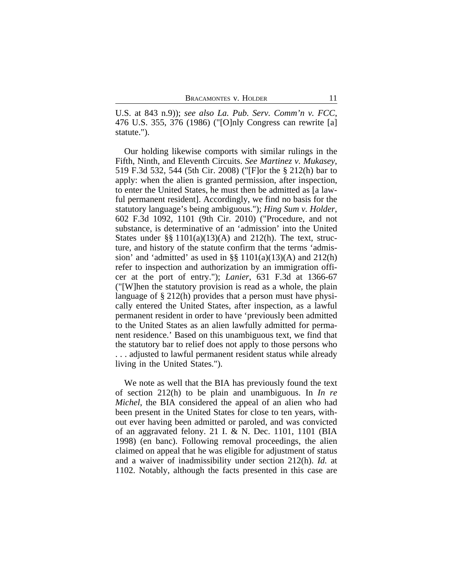U.S. at 843 n.9)); *see also La. Pub. Serv. Comm'n v. FCC*, 476 U.S. 355, 376 (1986) ("[O]nly Congress can rewrite [a] statute.").

Our holding likewise comports with similar rulings in the Fifth, Ninth, and Eleventh Circuits. *See Martinez v. Mukasey*, 519 F.3d 532, 544 (5th Cir. 2008) ("[F]or the § 212(h) bar to apply: when the alien is granted permission, after inspection, to enter the United States, he must then be admitted as [a lawful permanent resident]. Accordingly, we find no basis for the statutory language's being ambiguous."); *Hing Sum v. Holder*, 602 F.3d 1092, 1101 (9th Cir. 2010) ("Procedure, and not substance, is determinative of an 'admission' into the United States under  $\S$ § 1101(a)(13)(A) and 212(h). The text, structure, and history of the statute confirm that the terms 'admission' and 'admitted' as used in  $\S$  1101(a)(13)(A) and 212(h) refer to inspection and authorization by an immigration officer at the port of entry."); *Lanier*, 631 F.3d at 1366-67 ("[W]hen the statutory provision is read as a whole, the plain language of § 212(h) provides that a person must have physically entered the United States, after inspection, as a lawful permanent resident in order to have 'previously been admitted to the United States as an alien lawfully admitted for permanent residence.' Based on this unambiguous text, we find that the statutory bar to relief does not apply to those persons who . . . adjusted to lawful permanent resident status while already living in the United States.").

We note as well that the BIA has previously found the text of section 212(h) to be plain and unambiguous. In *In re Michel*, the BIA considered the appeal of an alien who had been present in the United States for close to ten years, without ever having been admitted or paroled, and was convicted of an aggravated felony. 21 I. & N. Dec. 1101, 1101 (BIA 1998) (en banc). Following removal proceedings, the alien claimed on appeal that he was eligible for adjustment of status and a waiver of inadmissibility under section 212(h). *Id.* at 1102. Notably, although the facts presented in this case are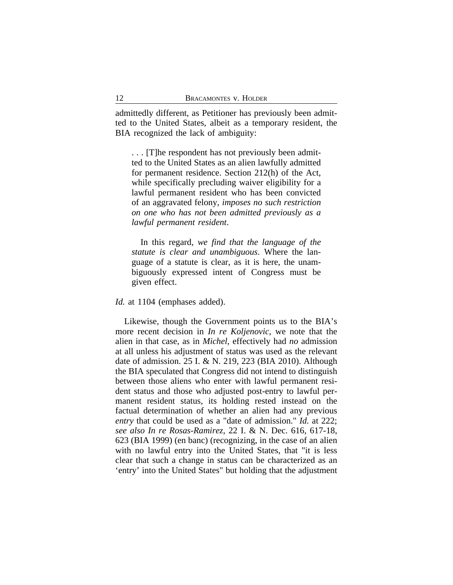admittedly different, as Petitioner has previously been admitted to the United States, albeit as a temporary resident, the BIA recognized the lack of ambiguity:

. . . [T]he respondent has not previously been admitted to the United States as an alien lawfully admitted for permanent residence. Section 212(h) of the Act, while specifically precluding waiver eligibility for a lawful permanent resident who has been convicted of an aggravated felony, *imposes no such restriction on one who has not been admitted previously as a lawful permanent resident*.

In this regard, *we find that the language of the statute is clear and unambiguous*. Where the language of a statute is clear, as it is here, the unambiguously expressed intent of Congress must be given effect.

## *Id.* at 1104 (emphases added).

Likewise, though the Government points us to the BIA's more recent decision in *In re Koljenovic*, we note that the alien in that case, as in *Michel*, effectively had *no* admission at all unless his adjustment of status was used as the relevant date of admission. 25 I. & N. 219, 223 (BIA 2010). Although the BIA speculated that Congress did not intend to distinguish between those aliens who enter with lawful permanent resident status and those who adjusted post-entry to lawful permanent resident status, its holding rested instead on the factual determination of whether an alien had any previous *entry* that could be used as a "date of admission." *Id.* at 222; *see also In re Rosas-Ramirez*, 22 I. & N. Dec. 616, 617-18, 623 (BIA 1999) (en banc) (recognizing, in the case of an alien with no lawful entry into the United States, that "it is less clear that such a change in status can be characterized as an 'entry' into the United States" but holding that the adjustment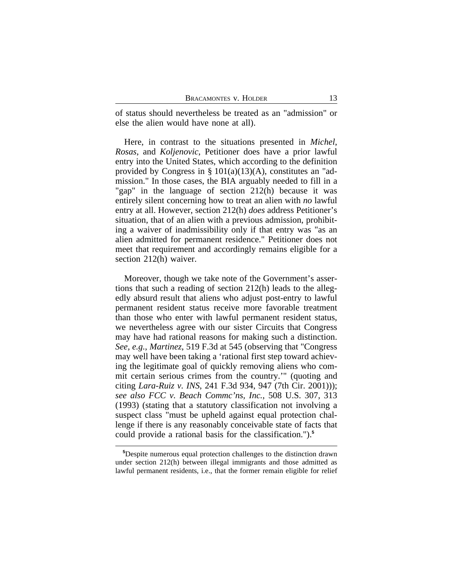of status should nevertheless be treated as an "admission" or else the alien would have none at all).

Here, in contrast to the situations presented in *Michel*, *Rosas*, and *Koljenovic*, Petitioner does have a prior lawful entry into the United States, which according to the definition provided by Congress in §  $101(a)(13)(A)$ , constitutes an "admission." In those cases, the BIA arguably needed to fill in a "gap" in the language of section 212(h) because it was entirely silent concerning how to treat an alien with *no* lawful entry at all. However, section 212(h) *does* address Petitioner's situation, that of an alien with a previous admission, prohibiting a waiver of inadmissibility only if that entry was "as an alien admitted for permanent residence." Petitioner does not meet that requirement and accordingly remains eligible for a section 212(h) waiver.

Moreover, though we take note of the Government's assertions that such a reading of section 212(h) leads to the allegedly absurd result that aliens who adjust post-entry to lawful permanent resident status receive more favorable treatment than those who enter with lawful permanent resident status, we nevertheless agree with our sister Circuits that Congress may have had rational reasons for making such a distinction. *See, e.g.*, *Martinez*, 519 F.3d at 545 (observing that "Congress may well have been taking a 'rational first step toward achieving the legitimate goal of quickly removing aliens who commit certain serious crimes from the country.'" (quoting and citing *Lara-Ruiz v. INS*, 241 F.3d 934, 947 (7th Cir. 2001))); *see also FCC v. Beach Commc'ns, Inc.*, 508 U.S. 307, 313 (1993) (stating that a statutory classification not involving a suspect class "must be upheld against equal protection challenge if there is any reasonably conceivable state of facts that could provide a rational basis for the classification.").**<sup>5</sup>**

**<sup>5</sup>**Despite numerous equal protection challenges to the distinction drawn under section 212(h) between illegal immigrants and those admitted as lawful permanent residents, i.e., that the former remain eligible for relief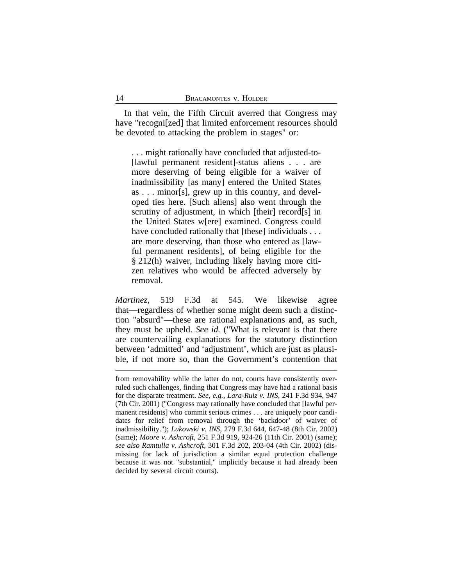In that vein, the Fifth Circuit averred that Congress may have "recogni[zed] that limited enforcement resources should be devoted to attacking the problem in stages" or:

. . . might rationally have concluded that adjusted-to- [lawful permanent resident]-status aliens . . . are more deserving of being eligible for a waiver of inadmissibility [as many] entered the United States as . . . minor[s], grew up in this country, and developed ties here. [Such aliens] also went through the scrutiny of adjustment, in which [their] record[s] in the United States w[ere] examined. Congress could have concluded rationally that [these] individuals . . . are more deserving, than those who entered as [lawful permanent residents], of being eligible for the § 212(h) waiver, including likely having more citizen relatives who would be affected adversely by removal.

*Martinez*, 519 F.3d at 545. We likewise agree that—regardless of whether some might deem such a distinction "absurd"—these are rational explanations and, as such, they must be upheld. *See id.* ("What is relevant is that there are countervailing explanations for the statutory distinction between 'admitted' and 'adjustment', which are just as plausible, if not more so, than the Government's contention that

from removability while the latter do not, courts have consistently overruled such challenges, finding that Congress may have had a rational basis for the disparate treatment. *See, e.g., Lara-Ruiz v. INS*, 241 F.3d 934, 947 (7th Cir. 2001) ("Congress may rationally have concluded that [lawful permanent residents] who commit serious crimes . . . are uniquely poor candidates for relief from removal through the 'backdoor' of waiver of inadmissibility."); *Lukowski v. INS*, 279 F.3d 644, 647-48 (8th Cir. 2002) (same); *Moore v. Ashcroft*, 251 F.3d 919, 924-26 (11th Cir. 2001) (same); *see also Ramtulla v. Ashcroft*, 301 F.3d 202, 203-04 (4th Cir. 2002) (dismissing for lack of jurisdiction a similar equal protection challenge because it was not "substantial," implicitly because it had already been decided by several circuit courts).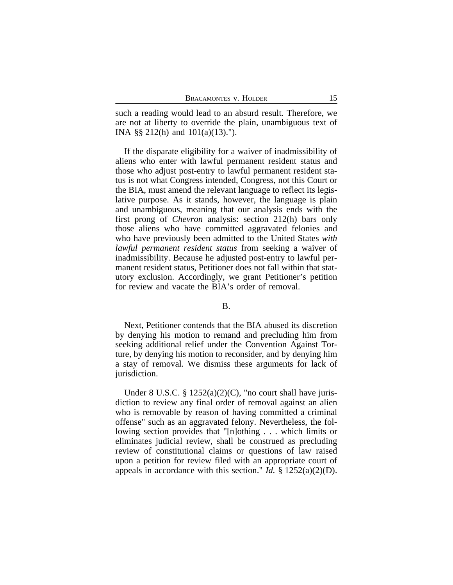such a reading would lead to an absurd result. Therefore, we are not at liberty to override the plain, unambiguous text of INA §§ 212(h) and 101(a)(13).").

If the disparate eligibility for a waiver of inadmissibility of aliens who enter with lawful permanent resident status and those who adjust post-entry to lawful permanent resident status is not what Congress intended, Congress, not this Court or the BIA, must amend the relevant language to reflect its legislative purpose. As it stands, however, the language is plain and unambiguous, meaning that our analysis ends with the first prong of *Chevron* analysis: section 212(h) bars only those aliens who have committed aggravated felonies and who have previously been admitted to the United States *with lawful permanent resident status* from seeking a waiver of inadmissibility. Because he adjusted post-entry to lawful permanent resident status, Petitioner does not fall within that statutory exclusion. Accordingly, we grant Petitioner's petition for review and vacate the BIA's order of removal.

### B.

Next, Petitioner contends that the BIA abused its discretion by denying his motion to remand and precluding him from seeking additional relief under the Convention Against Torture, by denying his motion to reconsider, and by denying him a stay of removal. We dismiss these arguments for lack of jurisdiction.

Under 8 U.S.C.  $\S 1252(a)(2)(C)$ , "no court shall have jurisdiction to review any final order of removal against an alien who is removable by reason of having committed a criminal offense" such as an aggravated felony. Nevertheless, the following section provides that "[n]othing . . . which limits or eliminates judicial review, shall be construed as precluding review of constitutional claims or questions of law raised upon a petition for review filed with an appropriate court of appeals in accordance with this section." *Id.*  $\S$  1252(a)(2)(D).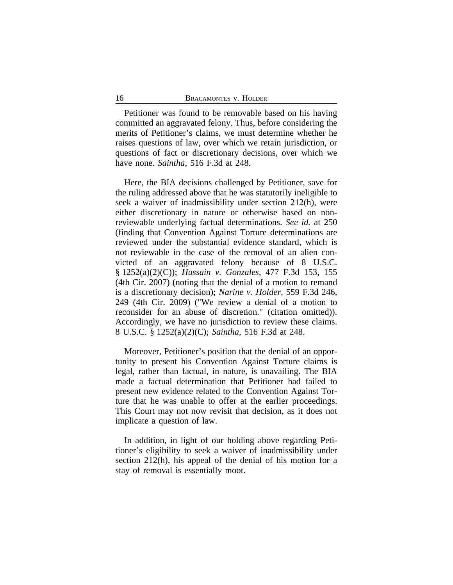Petitioner was found to be removable based on his having committed an aggravated felony. Thus, before considering the merits of Petitioner's claims, we must determine whether he raises questions of law, over which we retain jurisdiction, or questions of fact or discretionary decisions, over which we have none. *Saintha*, 516 F.3d at 248.

Here, the BIA decisions challenged by Petitioner, save for the ruling addressed above that he was statutorily ineligible to seek a waiver of inadmissibility under section 212(h), were either discretionary in nature or otherwise based on nonreviewable underlying factual determinations. *See id.* at 250 (finding that Convention Against Torture determinations are reviewed under the substantial evidence standard, which is not reviewable in the case of the removal of an alien convicted of an aggravated felony because of 8 U.S.C. § 1252(a)(2)(C)); *Hussain v. Gonzales*, 477 F.3d 153, 155 (4th Cir. 2007) (noting that the denial of a motion to remand is a discretionary decision); *Narine v. Holder*, 559 F.3d 246, 249 (4th Cir. 2009) ("We review a denial of a motion to reconsider for an abuse of discretion." (citation omitted)). Accordingly, we have no jurisdiction to review these claims. 8 U.S.C. § 1252(a)(2)(C); *Saintha*, 516 F.3d at 248.

Moreover, Petitioner's position that the denial of an opportunity to present his Convention Against Torture claims is legal, rather than factual, in nature, is unavailing. The BIA made a factual determination that Petitioner had failed to present new evidence related to the Convention Against Torture that he was unable to offer at the earlier proceedings. This Court may not now revisit that decision, as it does not implicate a question of law.

In addition, in light of our holding above regarding Petitioner's eligibility to seek a waiver of inadmissibility under section 212(h), his appeal of the denial of his motion for a stay of removal is essentially moot.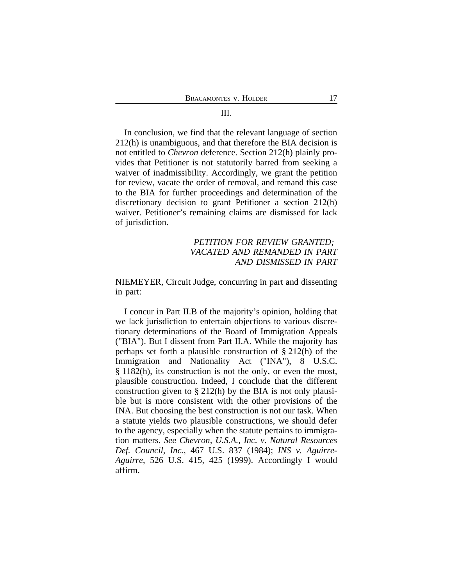#### III.

In conclusion, we find that the relevant language of section 212(h) is unambiguous, and that therefore the BIA decision is not entitled to *Chevron* deference. Section 212(h) plainly provides that Petitioner is not statutorily barred from seeking a waiver of inadmissibility. Accordingly, we grant the petition for review, vacate the order of removal, and remand this case to the BIA for further proceedings and determination of the discretionary decision to grant Petitioner a section 212(h) waiver. Petitioner's remaining claims are dismissed for lack of jurisdiction.

## *PETITION FOR REVIEW GRANTED; VACATED AND REMANDED IN PART AND DISMISSED IN PART*

NIEMEYER, Circuit Judge, concurring in part and dissenting in part:

I concur in Part II.B of the majority's opinion, holding that we lack jurisdiction to entertain objections to various discretionary determinations of the Board of Immigration Appeals ("BIA"). But I dissent from Part II.A. While the majority has perhaps set forth a plausible construction of § 212(h) of the Immigration and Nationality Act ("INA"), 8 U.S.C. § 1182(h), its construction is not the only, or even the most, plausible construction. Indeed, I conclude that the different construction given to  $\S 212(h)$  by the BIA is not only plausible but is more consistent with the other provisions of the INA. But choosing the best construction is not our task. When a statute yields two plausible constructions, we should defer to the agency, especially when the statute pertains to immigration matters. *See Chevron, U.S.A., Inc. v. Natural Resources Def. Council, Inc.*, 467 U.S. 837 (1984); *INS v. Aguirre-Aguirre*, 526 U.S. 415, 425 (1999). Accordingly I would affirm.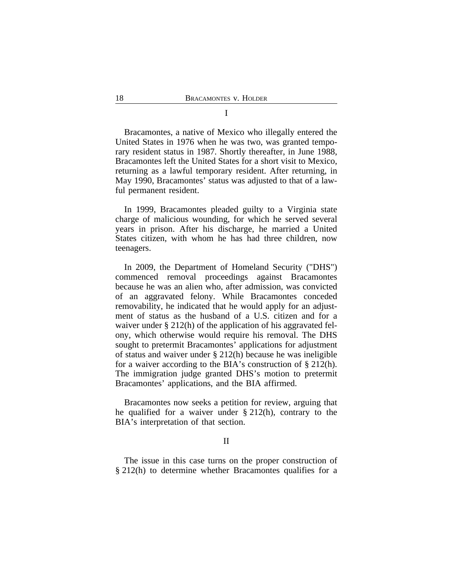Bracamontes, a native of Mexico who illegally entered the United States in 1976 when he was two, was granted temporary resident status in 1987. Shortly thereafter, in June 1988, Bracamontes left the United States for a short visit to Mexico, returning as a lawful temporary resident. After returning, in May 1990, Bracamontes' status was adjusted to that of a lawful permanent resident.

In 1999, Bracamontes pleaded guilty to a Virginia state charge of malicious wounding, for which he served several years in prison. After his discharge, he married a United States citizen, with whom he has had three children, now teenagers.

In 2009, the Department of Homeland Security ("DHS") commenced removal proceedings against Bracamontes because he was an alien who, after admission, was convicted of an aggravated felony. While Bracamontes conceded removability, he indicated that he would apply for an adjustment of status as the husband of a U.S. citizen and for a waiver under § 212(h) of the application of his aggravated felony, which otherwise would require his removal. The DHS sought to pretermit Bracamontes' applications for adjustment of status and waiver under § 212(h) because he was ineligible for a waiver according to the BIA's construction of § 212(h). The immigration judge granted DHS's motion to pretermit Bracamontes' applications, and the BIA affirmed.

Bracamontes now seeks a petition for review, arguing that he qualified for a waiver under  $\S 212(h)$ , contrary to the BIA's interpretation of that section.

II

The issue in this case turns on the proper construction of § 212(h) to determine whether Bracamontes qualifies for a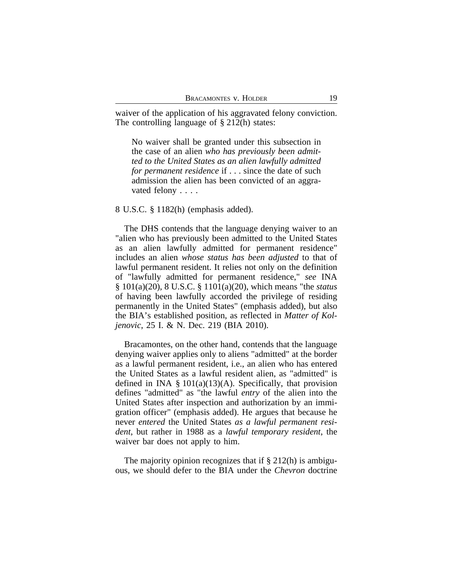waiver of the application of his aggravated felony conviction. The controlling language of § 212(h) states:

No waiver shall be granted under this subsection in the case of an alien *who has previously been admitted to the United States as an alien lawfully admitted for permanent residence* if . . . since the date of such admission the alien has been convicted of an aggravated felony . . . .

### 8 U.S.C. § 1182(h) (emphasis added).

The DHS contends that the language denying waiver to an "alien who has previously been admitted to the United States as an alien lawfully admitted for permanent residence" includes an alien *whose status has been adjusted* to that of lawful permanent resident. It relies not only on the definition of "lawfully admitted for permanent residence," *see* INA § 101(a)(20), 8 U.S.C. § 1101(a)(20), which means "the *status* of having been lawfully accorded the privilege of residing permanently in the United States" (emphasis added), but also the BIA's established position, as reflected in *Matter of Koljenovic*, 25 I. & N. Dec. 219 (BIA 2010).

Bracamontes, on the other hand, contends that the language denying waiver applies only to aliens "admitted" at the border as a lawful permanent resident, i.e., an alien who has entered the United States as a lawful resident alien, as "admitted" is defined in INA  $\S 101(a)(13)(A)$ . Specifically, that provision defines "admitted" as "the lawful *entry* of the alien into the United States after inspection and authorization by an immigration officer" (emphasis added). He argues that because he never *entered* the United States *as a lawful permanent resident*, but rather in 1988 as a *lawful temporary resident*, the waiver bar does not apply to him.

The majority opinion recognizes that if § 212(h) is ambiguous, we should defer to the BIA under the *Chevron* doctrine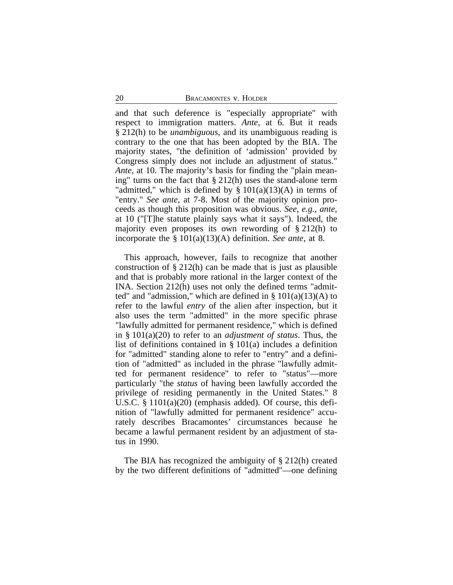and that such deference is "especially appropriate" with respect to immigration matters. *Ante*, at 6. But it reads § 212(h) to be *unambiguous*, and its unambiguous reading is contrary to the one that has been adopted by the BIA. The majority states, "the definition of 'admission' provided by Congress simply does not include an adjustment of status." *Ante*, at 10. The majority's basis for finding the "plain meaning" turns on the fact that § 212(h) uses the stand-alone term "admitted," which is defined by  $\S 101(a)(13)(A)$  in terms of "entry." *See ante*, at 7-8. Most of the majority opinion proceeds as though this proposition was obvious. *See*, *e.g.*, *ante*, at 10 ("[T]he statute plainly says what it says"). Indeed, the majority even proposes its own rewording of § 212(h) to incorporate the § 101(a)(13)(A) definition. *See ante*, at 8.

This approach, however, fails to recognize that another construction of  $\S 212(h)$  can be made that is just as plausible and that is probably more rational in the larger context of the INA. Section 212(h) uses not only the defined terms "admitted" and "admission," which are defined in  $\S 101(a)(13)(A)$  to refer to the lawful *entry* of the alien after inspection, but it also uses the term "admitted" in the more specific phrase "lawfully admitted for permanent residence," which is defined in § 101(a)(20) to refer to an *adjustment of status*. Thus, the list of definitions contained in § 101(a) includes a definition for "admitted" standing alone to refer to "entry" and a definition of "admitted" as included in the phrase "lawfully admitted for permanent residence" to refer to "status"—more particularly "the *status* of having been lawfully accorded the privilege of residing permanently in the United States." 8 U.S.C. § 1101(a)(20) (emphasis added). Of course, this definition of "lawfully admitted for permanent residence" accurately describes Bracamontes' circumstances because he became a lawful permanent resident by an adjustment of status in 1990.

The BIA has recognized the ambiguity of § 212(h) created by the two different definitions of "admitted"—one defining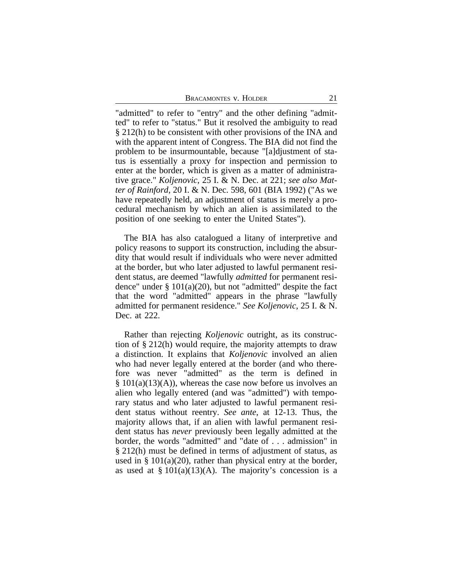BRACAMONTES V. HOLDER 21

"admitted" to refer to "entry" and the other defining "admitted" to refer to "status." But it resolved the ambiguity to read § 212(h) to be consistent with other provisions of the INA and with the apparent intent of Congress. The BIA did not find the problem to be insurmountable, because "[a]djustment of status is essentially a proxy for inspection and permission to enter at the border, which is given as a matter of administrative grace." *Koljenovic*, 25 I. & N. Dec. at 221; *see also Matter of Rainford*, 20 I. & N. Dec. 598, 601 (BIA 1992) ("As we have repeatedly held, an adjustment of status is merely a procedural mechanism by which an alien is assimilated to the position of one seeking to enter the United States").

The BIA has also catalogued a litany of interpretive and policy reasons to support its construction, including the absurdity that would result if individuals who were never admitted at the border, but who later adjusted to lawful permanent resident status, are deemed "lawfully *admitted* for permanent residence" under  $\S 101(a)(20)$ , but not "admitted" despite the fact that the word "admitted" appears in the phrase "lawfully admitted for permanent residence." *See Koljenovic*, 25 I. & N. Dec. at 222.

Rather than rejecting *Koljenovic* outright, as its construction of § 212(h) would require, the majority attempts to draw a distinction. It explains that *Koljenovic* involved an alien who had never legally entered at the border (and who therefore was never "admitted" as the term is defined in  $§ 101(a)(13)(A)$ , whereas the case now before us involves an alien who legally entered (and was "admitted") with temporary status and who later adjusted to lawful permanent resident status without reentry. *See ante*, at 12-13. Thus, the majority allows that, if an alien with lawful permanent resident status has *never* previously been legally admitted at the border, the words "admitted" and "date of . . . admission" in § 212(h) must be defined in terms of adjustment of status, as used in  $\S 101(a)(20)$ , rather than physical entry at the border, as used at  $\S 101(a)(13)(A)$ . The majority's concession is a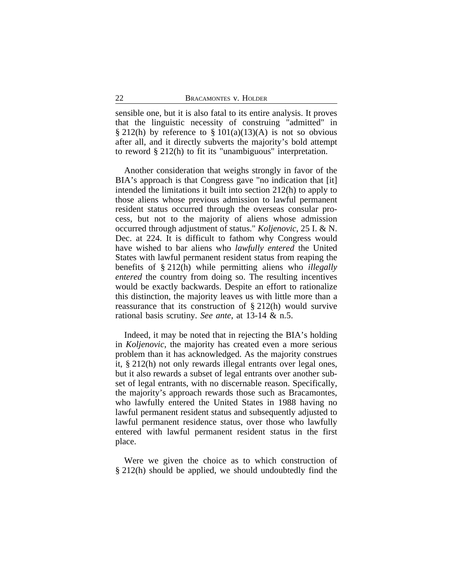sensible one, but it is also fatal to its entire analysis. It proves that the linguistic necessity of construing "admitted" in § 212(h) by reference to § 101(a)(13)(A) is not so obvious after all, and it directly subverts the majority's bold attempt to reword § 212(h) to fit its "unambiguous" interpretation.

Another consideration that weighs strongly in favor of the BIA's approach is that Congress gave "no indication that [it] intended the limitations it built into section 212(h) to apply to those aliens whose previous admission to lawful permanent resident status occurred through the overseas consular process, but not to the majority of aliens whose admission occurred through adjustment of status." *Koljenovic*, 25 I. & N. Dec. at 224. It is difficult to fathom why Congress would have wished to bar aliens who *lawfully entered* the United States with lawful permanent resident status from reaping the benefits of § 212(h) while permitting aliens who *illegally entered* the country from doing so. The resulting incentives would be exactly backwards. Despite an effort to rationalize this distinction, the majority leaves us with little more than a reassurance that its construction of § 212(h) would survive rational basis scrutiny. *See ante*, at 13-14 & n.5.

Indeed, it may be noted that in rejecting the BIA's holding in *Koljenovic*, the majority has created even a more serious problem than it has acknowledged. As the majority construes it, § 212(h) not only rewards illegal entrants over legal ones, but it also rewards a subset of legal entrants over another subset of legal entrants, with no discernable reason. Specifically, the majority's approach rewards those such as Bracamontes, who lawfully entered the United States in 1988 having no lawful permanent resident status and subsequently adjusted to lawful permanent residence status, over those who lawfully entered with lawful permanent resident status in the first place.

Were we given the choice as to which construction of § 212(h) should be applied, we should undoubtedly find the